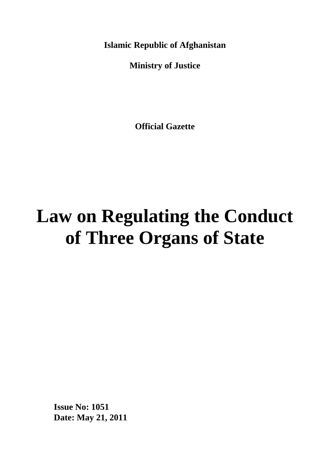**Islamic Republic of Afghanistan**

**Ministry of Justice**

**Official Gazette**

# **Law on Regulating the Conduct of Three Organs of State**

**Issue No: 1051 Date: May 21, 2011**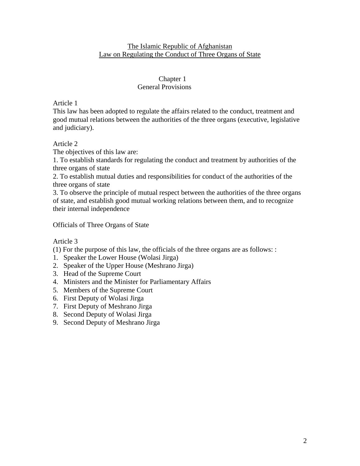# The Islamic Republic of Afghanistan Law on Regulating the Conduct of Three Organs of State

#### Chapter 1 General Provisions

# Article 1

This law has been adopted to regulate the affairs related to the conduct, treatment and good mutual relations between the authorities of the three organs (executive, legislative and judiciary).

# Article 2

The objectives of this law are:

1. To establish standards for regulating the conduct and treatment by authorities of the three organs of state

2. To establish mutual duties and responsibilities for conduct of the authorities of the three organs of state

3. To observe the principle of mutual respect between the authorities of the three organs of state, and establish good mutual working relations between them, and to recognize their internal independence

# Officials of Three Organs of State

# Article 3

(1) For the purpose of this law, the officials of the three organs are as follows: :

- 1. Speaker the Lower House (Wolasi Jirga)
- 2. Speaker of the Upper House (Meshrano Jirga)
- 3. Head of the Supreme Court
- 4. Ministers and the Minister for Parliamentary Affairs
- 5. Members of the Supreme Court
- 6. First Deputy of Wolasi Jirga
- 7. First Deputy of Meshrano Jirga
- 8. Second Deputy of Wolasi Jirga
- 9. Second Deputy of Meshrano Jirga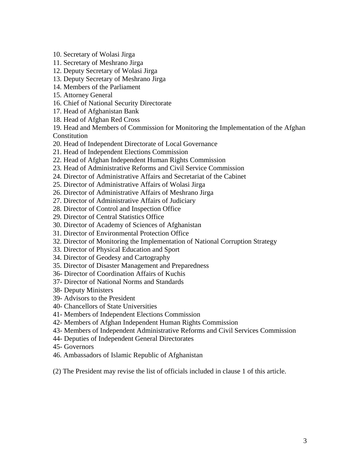- 10. Secretary of Wolasi Jirga
- 11. Secretary of Meshrano Jirga
- 12. Deputy Secretary of Wolasi Jirga
- 13. Deputy Secretary of Meshrano Jirga
- 14. Members of the Parliament
- 15. Attorney General
- 16. Chief of National Security Directorate
- 17. Head of Afghanistan Bank
- 18. Head of Afghan Red Cross

19. Head and Members of Commission for Monitoring the Implementation of the Afghan Constitution

- 20. Head of Independent Directorate of Local Governance
- 21. Head of Independent Elections Commission
- 22. Head of Afghan Independent Human Rights Commission
- 23. Head of Administrative Reforms and Civil Service Commission
- 24. Director of Administrative Affairs and Secretariat of the Cabinet
- 25. Director of Administrative Affairs of Wolasi Jirga
- 26. Director of Administrative Affairs of Meshrano Jirga
- 27. Director of Administrative Affairs of Judiciary
- 28. Director of Control and Inspection Office
- 29. Director of Central Statistics Office
- 30. Director of Academy of Sciences of Afghanistan
- 31. Director of Environmental Protection Office
- 32. Director of Monitoring the Implementation of National Corruption Strategy
- 33. Director of Physical Education and Sport
- 34. Director of Geodesy and Cartography
- 35. Director of Disaster Management and Preparedness
- 36- Director of Coordination Affairs of Kuchis
- 37- Director of National Norms and Standards
- 38- Deputy Ministers
- 39- Advisors to the President
- 40- Chancellors of State Universities
- 41- Members of Independent Elections Commission
- 42- Members of Afghan Independent Human Rights Commission
- 43- Members of Independent Administrative Reforms and Civil Services Commission
- 44- Deputies of Independent General Directorates
- 45- Governors
- 46. Ambassadors of Islamic Republic of Afghanistan

(2) The President may revise the list of officials included in clause 1 of this article.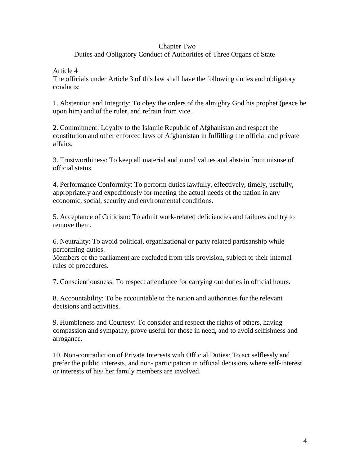## Chapter Two

Duties and Obligatory Conduct of Authorities of Three Organs of State

Article 4

The officials under Article 3 of this law shall have the following duties and obligatory conducts:

1. Abstention and Integrity: To obey the orders of the almighty God his prophet (peace be upon him) and of the ruler, and refrain from vice.

2. Commitment: Loyalty to the Islamic Republic of Afghanistan and respect the constitution and other enforced laws of Afghanistan in fulfilling the official and private affairs.

3. Trustworthiness: To keep all material and moral values and abstain from misuse of official status

4. Performance Conformity: To perform duties lawfully, effectively, timely, usefully, appropriately and expeditiously for meeting the actual needs of the nation in any economic, social, security and environmental conditions.

5. Acceptance of Criticism: To admit work-related deficiencies and failures and try to remove them.

6. Neutrality: To avoid political, organizational or party related partisanship while performing duties.

Members of the parliament are excluded from this provision, subject to their internal rules of procedures.

7. Conscientiousness: To respect attendance for carrying out duties in official hours.

8. Accountability: To be accountable to the nation and authorities for the relevant decisions and activities.

9. Humbleness and Courtesy: To consider and respect the rights of others, having compassion and sympathy, prove useful for those in need, and to avoid selfishness and arrogance.

10. Non-contradiction of Private Interests with Official Duties: To act selflessly and prefer the public interests, and non- participation in official decisions where self-interest or interests of his/ her family members are involved.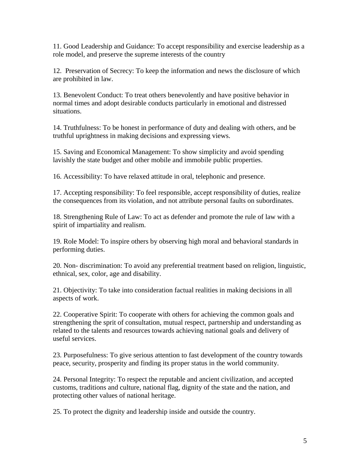11. Good Leadership and Guidance: To accept responsibility and exercise leadership as a role model, and preserve the supreme interests of the country

12. Preservation of Secrecy: To keep the information and news the disclosure of which are prohibited in law.

13. Benevolent Conduct: To treat others benevolently and have positive behavior in normal times and adopt desirable conducts particularly in emotional and distressed situations.

14. Truthfulness: To be honest in performance of duty and dealing with others, and be truthful uprightness in making decisions and expressing views.

15. Saving and Economical Management: To show simplicity and avoid spending lavishly the state budget and other mobile and immobile public properties.

16. Accessibility: To have relaxed attitude in oral, telephonic and presence.

17. Accepting responsibility: To feel responsible, accept responsibility of duties, realize the consequences from its violation, and not attribute personal faults on subordinates.

18. Strengthening Rule of Law: To act as defender and promote the rule of law with a spirit of impartiality and realism.

19. Role Model: To inspire others by observing high moral and behavioral standards in performing duties.

20. Non- discrimination: To avoid any preferential treatment based on religion, linguistic, ethnical, sex, color, age and disability.

21. Objectivity: To take into consideration factual realities in making decisions in all aspects of work.

22. Cooperative Spirit: To cooperate with others for achieving the common goals and strengthening the sprit of consultation, mutual respect, partnership and understanding as related to the talents and resources towards achieving national goals and delivery of useful services.

23. Purposefulness: To give serious attention to fast development of the country towards peace, security, prosperity and finding its proper status in the world community.

24. Personal Integrity: To respect the reputable and ancient civilization, and accepted customs, traditions and culture, national flag, dignity of the state and the nation, and protecting other values of national heritage.

25. To protect the dignity and leadership inside and outside the country.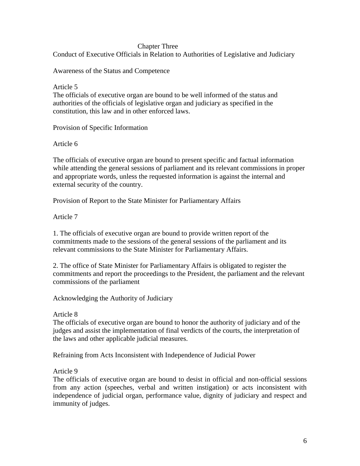## Chapter Three

Conduct of Executive Officials in Relation to Authorities of Legislative and Judiciary

Awareness of the Status and Competence

#### Article 5

The officials of executive organ are bound to be well informed of the status and authorities of the officials of legislative organ and judiciary as specified in the constitution, this law and in other enforced laws.

Provision of Specific Information

Article 6

The officials of executive organ are bound to present specific and factual information while attending the general sessions of parliament and its relevant commissions in proper and appropriate words, unless the requested information is against the internal and external security of the country.

Provision of Report to the State Minister for Parliamentary Affairs

Article 7

1. The officials of executive organ are bound to provide written report of the commitments made to the sessions of the general sessions of the parliament and its relevant commissions to the State Minister for Parliamentary Affairs.

2. The office of State Minister for Parliamentary Affairs is obligated to register the commitments and report the proceedings to the President, the parliament and the relevant commissions of the parliament

Acknowledging the Authority of Judiciary

Article 8

The officials of executive organ are bound to honor the authority of judiciary and of the judges and assist the implementation of final verdicts of the courts, the interpretation of the laws and other applicable judicial measures.

Refraining from Acts Inconsistent with Independence of Judicial Power

#### Article 9

The officials of executive organ are bound to desist in official and non-official sessions from any action (speeches, verbal and written instigation) or acts inconsistent with independence of judicial organ, performance value, dignity of judiciary and respect and immunity of judges.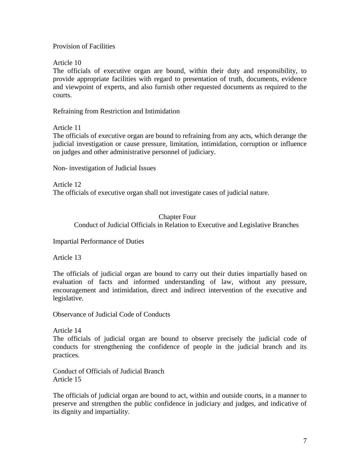## Provision of Facilities

Article 10

The officials of executive organ are bound, within their duty and responsibility, to provide appropriate facilities with regard to presentation of truth, documents, evidence and viewpoint of experts, and also furnish other requested documents as required to the courts.

Refraining from Restriction and Intimidation

Article 11

The officials of executive organ are bound to refraining from any acts, which derange the judicial investigation or cause pressure, limitation, intimidation, corruption or influence on judges and other administrative personnel of judiciary.

Non- investigation of Judicial Issues

Article 12 The officials of executive organ shall not investigate cases of judicial nature.

# Chapter Four Conduct of Judicial Officials in Relation to Executive and Legislative Branches

Impartial Performance of Duties

Article 13

The officials of judicial organ are bound to carry out their duties impartially based on evaluation of facts and informed understanding of law, without any pressure, encouragement and intimidation, direct and indirect intervention of the executive and legislative.

Observance of Judicial Code of Conducts

Article 14

The officials of judicial organ are bound to observe precisely the judicial code of conducts for strengthening the confidence of people in the judicial branch and its practices.

Conduct of Officials of Judicial Branch Article 15

The officials of judicial organ are bound to act, within and outside courts, in a manner to preserve and strengthen the public confidence in judiciary and judges, and indicative of its dignity and impartiality.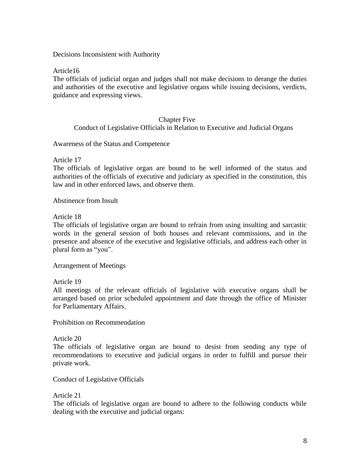Decisions Inconsistent with Authority

Article16

The officials of judicial organ and judges shall not make decisions to derange the duties and authorities of the executive and legislative organs while issuing decisions, verdicts, guidance and expressing views.

## Chapter Five

Conduct of Legislative Officials in Relation to Executive and Judicial Organs

Awareness of the Status and Competence

Article 17

The officials of legislative organ are bound to be well informed of the status and authorities of the officials of executive and judiciary as specified in the constitution, this law and in other enforced laws, and observe them.

Abstinence from Insult

#### Article 18

The officials of legislative organ are bound to refrain from using insulting and sarcastic words in the general session of both houses and relevant commissions, and in the presence and absence of the executive and legislative officials, and address each other in plural form as "you".

Arrangement of Meetings

Article 19

All meetings of the relevant officials of legislative with executive organs shall be arranged based on prior scheduled appointment and date through the office of Minister for Parliamentary Affairs.

Prohibition on Recommendation

Article 20

The officials of legislative organ are bound to desist from sending any type of recommendations to executive and judicial organs in order to fulfill and pursue their private work.

Conduct of Legislative Officials

#### Article 21

The officials of legislative organ are bound to adhere to the following conducts while dealing with the executive and judicial organs: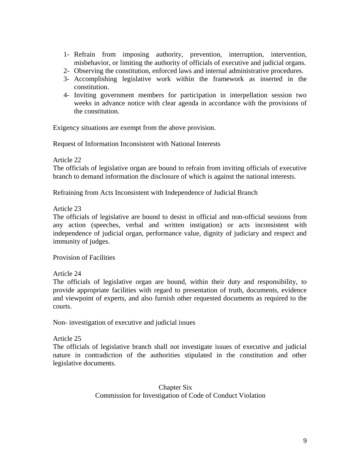- 1- Refrain from imposing authority, prevention, interruption, intervention, misbehavior, or limiting the authority of officials of executive and judicial organs.
- 2- Observing the constitution, enforced laws and internal administrative procedures.
- 3- Accomplishing legislative work within the framework as inserted in the constitution.
- 4- Inviting government members for participation in interpellation session two weeks in advance notice with clear agenda in accordance with the provisions of the constitution.

Exigency situations are exempt from the above provision.

Request of Information Inconsistent with National Interests

Article 22

The officials of legislative organ are bound to refrain from inviting officials of executive branch to demand information the disclosure of which is against the national interests.

Refraining from Acts Inconsistent with Independence of Judicial Branch

Article 23

The officials of legislative are bound to desist in official and non-official sessions from any action (speeches, verbal and written instigation) or acts inconsistent with independence of judicial organ, performance value, dignity of judiciary and respect and immunity of judges.

Provision of Facilities

Article 24

The officials of legislative organ are bound, within their duty and responsibility, to provide appropriate facilities with regard to presentation of truth, documents, evidence and viewpoint of experts, and also furnish other requested documents as required to the courts.

Non- investigation of executive and judicial issues

Article 25

The officials of legislative branch shall not investigate issues of executive and judicial nature in contradiction of the authorities stipulated in the constitution and other legislative documents.

> Chapter Six Commission for Investigation of Code of Conduct Violation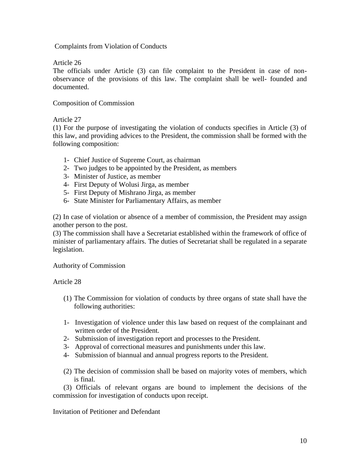Complaints from Violation of Conducts

# Article 26

The officials under Article (3) can file complaint to the President in case of nonobservance of the provisions of this law. The complaint shall be well- founded and documented.

Composition of Commission

# Article 27

(1) For the purpose of investigating the violation of conducts specifies in Article (3) of this law, and providing advices to the President, the commission shall be formed with the following composition:

- 1- Chief Justice of Supreme Court, as chairman
- 2- Two judges to be appointed by the President, as members
- 3- Minister of Justice, as member
- 4- First Deputy of Wolusi Jirga, as member
- 5- First Deputy of Mishrano Jirga, as member
- 6- State Minister for Parliamentary Affairs, as member

(2) In case of violation or absence of a member of commission, the President may assign another person to the post.

(3) The commission shall have a Secretariat established within the framework of office of minister of parliamentary affairs. The duties of Secretariat shall be regulated in a separate legislation.

Authority of Commission

Article 28

- (1) The Commission for violation of conducts by three organs of state shall have the following authorities:
- 1- Investigation of violence under this law based on request of the complainant and written order of the President.
- 2- Submission of investigation report and processes to the President.
- 3- Approval of correctional measures and punishments under this law.
- 4- Submission of biannual and annual progress reports to the President.
- (2) The decision of commission shall be based on majority votes of members, which is final.

(3) Officials of relevant organs are bound to implement the decisions of the commission for investigation of conducts upon receipt.

Invitation of Petitioner and Defendant